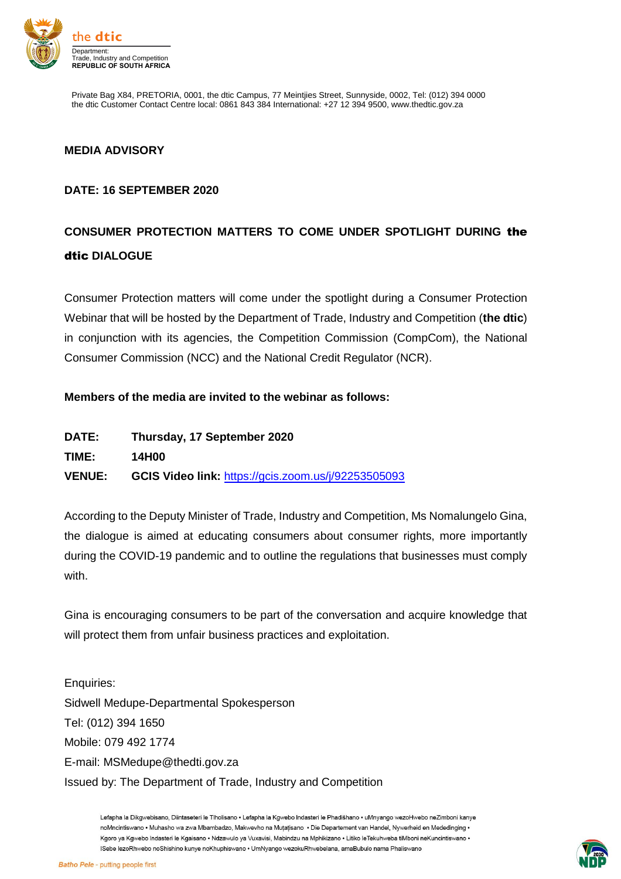

Private Bag X84, PRETORIA, 0001, the dtic Campus, 77 Meintjies Street, Sunnyside, 0002, Tel: (012) 394 0000 the dtic Customer Contact Centre local: 0861 843 384 International: +27 12 394 9500, www.thedtic.gov.za

## **MEDIA ADVISORY**

## **DATE: 16 SEPTEMBER 2020**

## **CONSUMER PROTECTION MATTERS TO COME UNDER SPOTLIGHT DURING** the dtic **DIALOGUE**

Consumer Protection matters will come under the spotlight during a Consumer Protection Webinar that will be hosted by the Department of Trade, Industry and Competition (**the dtic**) in conjunction with its agencies, the Competition Commission (CompCom), the National Consumer Commission (NCC) and the National Credit Regulator (NCR).

## **Members of the media are invited to the webinar as follows:**

| <b>DATE:</b> |  | Thursday, 17 September 2020 |
|--------------|--|-----------------------------|
|              |  |                             |

**TIME: 14H00**

**VENUE: GCIS Video link:** <https://gcis.zoom.us/j/92253505093>

According to the Deputy Minister of Trade, Industry and Competition, Ms Nomalungelo Gina, the dialogue is aimed at educating consumers about consumer rights, more importantly during the COVID-19 pandemic and to outline the regulations that businesses must comply with.

Gina is encouraging consumers to be part of the conversation and acquire knowledge that will protect them from unfair business practices and exploitation.

Enquiries: Sidwell Medupe-Departmental Spokesperson Tel: (012) 394 1650 Mobile: 079 492 1774 E-mail: MSMedupe@thedti.gov.za Issued by: The Department of Trade, Industry and Competition

> Lefapha la Dikgwebisano, Diintaseteri le Tlholisano · Lefapha la Kgwebo Indasteri le Phadišhano · uMnyango wezoHwebo neZimboni kanye noMncintiswano • Muhasho wa zwa Mbambadzo. Makwevho na Mutatisano • Die Departement van Handel. Nywerheid en Mededinging • Kgoro ya Kgwebo Indasteri le Kgaisano · Ndzawulo ya Vuxavisi, Mabindzu na Mphikizano · Litiko leTekuhweba tiMboni neKuncintiswano · ISebe lezoRhwebo noShishino kunye noKhuphiswano · UmNyango wezokuRhwebelana, amaBubulo nama Phaliswano